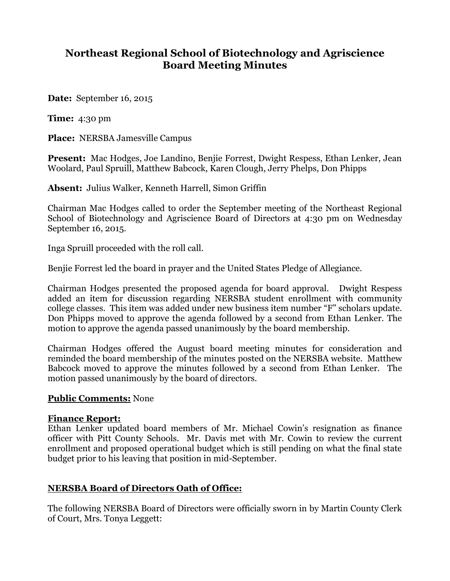# **Northeast Regional School of Biotechnology and Agriscience Board Meeting Minutes**

**Date:** September 16, 2015

**Time:** 4:30 pm

**Place:** NERSBA Jamesville Campus

**Present:** Mac Hodges, Joe Landino, Benjie Forrest, Dwight Respess, Ethan Lenker, Jean Woolard, Paul Spruill, Matthew Babcock, Karen Clough, Jerry Phelps, Don Phipps

**Absent:** Julius Walker, Kenneth Harrell, Simon Griffin

Chairman Mac Hodges called to order the September meeting of the Northeast Regional School of Biotechnology and Agriscience Board of Directors at 4:30 pm on Wednesday September 16, 2015.

Inga Spruill proceeded with the roll call.

Benjie Forrest led the board in prayer and the United States Pledge of Allegiance.

Chairman Hodges presented the proposed agenda for board approval. Dwight Respess added an item for discussion regarding NERSBA student enrollment with community college classes. This item was added under new business item number "F" scholars update. Don Phipps moved to approve the agenda followed by a second from Ethan Lenker. The motion to approve the agenda passed unanimously by the board membership.

Chairman Hodges offered the August board meeting minutes for consideration and reminded the board membership of the minutes posted on the NERSBA website. Matthew Babcock moved to approve the minutes followed by a second from Ethan Lenker. The motion passed unanimously by the board of directors.

## **Public Comments:** None

#### **Finance Report:**

Ethan Lenker updated board members of Mr. Michael Cowin's resignation as finance officer with Pitt County Schools. Mr. Davis met with Mr. Cowin to review the current enrollment and proposed operational budget which is still pending on what the final state budget prior to his leaving that position in mid-September.

## **NERSBA Board of Directors Oath of Office:**

The following NERSBA Board of Directors were officially sworn in by Martin County Clerk of Court, Mrs. Tonya Leggett: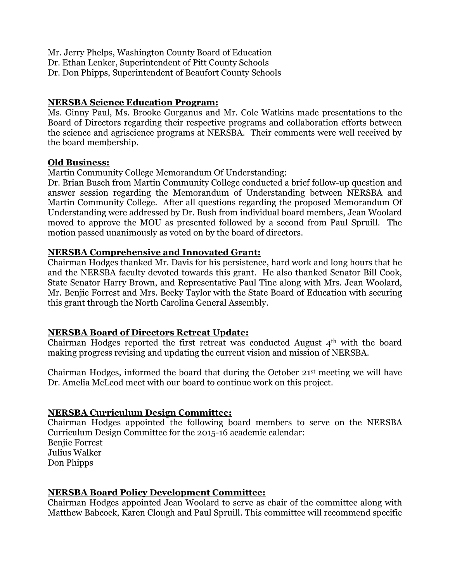Mr. Jerry Phelps, Washington County Board of Education Dr. Ethan Lenker, Superintendent of Pitt County Schools Dr. Don Phipps, Superintendent of Beaufort County Schools

## **NERSBA Science Education Program:**

Ms. Ginny Paul, Ms. Brooke Gurganus and Mr. Cole Watkins made presentations to the Board of Directors regarding their respective programs and collaboration efforts between the science and agriscience programs at NERSBA. Their comments were well received by the board membership.

#### **Old Business:**

Martin Community College Memorandum Of Understanding:

Dr. Brian Busch from Martin Community College conducted a brief follow-up question and answer session regarding the Memorandum of Understanding between NERSBA and Martin Community College. After all questions regarding the proposed Memorandum Of Understanding were addressed by Dr. Bush from individual board members, Jean Woolard moved to approve the MOU as presented followed by a second from Paul Spruill. The motion passed unanimously as voted on by the board of directors.

#### **NERSBA Comprehensive and Innovated Grant:**

Chairman Hodges thanked Mr. Davis for his persistence, hard work and long hours that he and the NERSBA faculty devoted towards this grant. He also thanked Senator Bill Cook, State Senator Harry Brown, and Representative Paul Tine along with Mrs. Jean Woolard, Mr. Benjie Forrest and Mrs. Becky Taylor with the State Board of Education with securing this grant through the North Carolina General Assembly.

## **NERSBA Board of Directors Retreat Update:**

Chairman Hodges reported the first retreat was conducted August  $4<sup>th</sup>$  with the board making progress revising and updating the current vision and mission of NERSBA.

Chairman Hodges, informed the board that during the October 21st meeting we will have Dr. Amelia McLeod meet with our board to continue work on this project.

## **NERSBA Curriculum Design Committee:**

Chairman Hodges appointed the following board members to serve on the NERSBA Curriculum Design Committee for the 2015-16 academic calendar: Benjie Forrest Julius Walker Don Phipps

## **NERSBA Board Policy Development Committee:**

Chairman Hodges appointed Jean Woolard to serve as chair of the committee along with Matthew Babcock, Karen Clough and Paul Spruill. This committee will recommend specific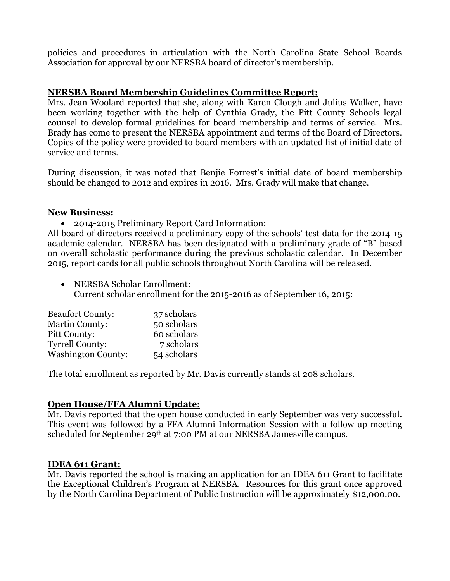policies and procedures in articulation with the North Carolina State School Boards Association for approval by our NERSBA board of director's membership.

# **NERSBA Board Membership Guidelines Committee Report:**

Mrs. Jean Woolard reported that she, along with Karen Clough and Julius Walker, have been working together with the help of Cynthia Grady, the Pitt County Schools legal counsel to develop formal guidelines for board membership and terms of service. Mrs. Brady has come to present the NERSBA appointment and terms of the Board of Directors. Copies of the policy were provided to board members with an updated list of initial date of service and terms.

During discussion, it was noted that Benjie Forrest's initial date of board membership should be changed to 2012 and expires in 2016. Mrs. Grady will make that change.

#### **New Business:**

2014-2015 Preliminary Report Card Information:

All board of directors received a preliminary copy of the schools' test data for the 2014-15 academic calendar. NERSBA has been designated with a preliminary grade of "B" based on overall scholastic performance during the previous scholastic calendar. In December 2015, report cards for all public schools throughout North Carolina will be released.

 NERSBA Scholar Enrollment: Current scholar enrollment for the 2015-2016 as of September 16, 2015:

| <b>Beaufort County:</b>   | 37 scholars |
|---------------------------|-------------|
| <b>Martin County:</b>     | 50 scholars |
| Pitt County:              | 60 scholars |
| <b>Tyrrell County:</b>    | 7 scholars  |
| <b>Washington County:</b> | 54 scholars |

The total enrollment as reported by Mr. Davis currently stands at 208 scholars.

## **Open House/FFA Alumni Update:**

Mr. Davis reported that the open house conducted in early September was very successful. This event was followed by a FFA Alumni Information Session with a follow up meeting scheduled for September 29th at 7:00 PM at our NERSBA Jamesville campus.

## **IDEA 611 Grant:**

Mr. Davis reported the school is making an application for an IDEA 611 Grant to facilitate the Exceptional Children's Program at NERSBA. Resources for this grant once approved by the North Carolina Department of Public Instruction will be approximately \$12,000.00.